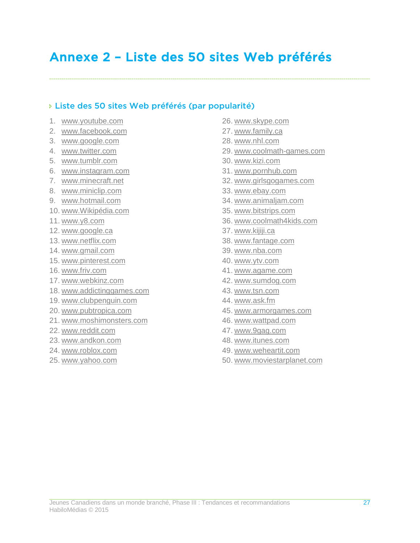# Annexe 2 – Liste des 50 sites Web préférés

# Liste des 50 sites Web préférés (par popularité)

- 1. www.youtube.com
- 2. www.facebook.com
- 3. www.google.com
- 4. www.twitter.com
- 5. www.tumblr.com
- 6. www.instagram.com
- 7. www.minecraft.net
- 8. www.miniclip.com
- 9. www.hotmail.com
- 10. www.Wikipédia.com
- 11. www.y8.com
- 12. www.google.ca
- 13. www.netflix.com
- 14. www.gmail.com
- 15. www.pinterest.com
- 16. www.friv.com
- 17. www.webkinz.com
- 18. www.addictinggames.com
- 19. www.clubpenguin.com
- 20. www.pubtropica.com
- 21. www.moshimonsters.com
- 22. www.reddit.com
- 23. www.andkon.com
- 24. www.roblox.com
- 25. www.yahoo.com
- 26. www.skype.com
- 27. www.family.ca
- 28. www.nhl.com
- 29. www.coolmath-games.com
- 30. www.kizi.com
- 31. www.pornhub.com
- 32. www.girlsgogames.com
- 33. www.ebay.com
- 34. www.animaljam.com
- 35. www.bitstrips.com
- 36. www.coolmath4kids.com
- 37. www.kijiji.ca
- 38. www.fantage.com
- 39. www.nba.com
- 40. www.ytv.com
- 41. www.agame.com
- 42. www.sumdog.com
- 43. www.tsn.com
- 44. www.ask.fm
- 45. www.armorgames.com
- 46. www.wattpad.com
- 47. www.9gag.com
- 48. www.itunes.com
- 49. www.weheartit.com
- 50. www.moviestarplanet.com